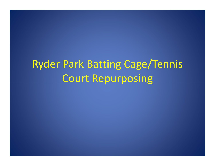# Ryder Park Batting Cage/Tennis Court Repurposing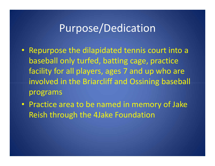### Purpose/Dedication

- Repurpose the dilapidated tennis court into a baseball only turfed, batting cage, practice facility for all players, ages 7 and up who are involved in the Briarcliff and Ossining baseball programs
- Practice area to be named in memory of Jake Reish through the 4Jake Foundation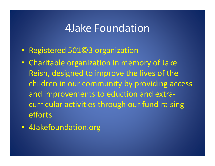#### 4Jake Foundation

- Registered 501©3 organization
- Charitable organization in memory of Jake Reish, designed to improve the lives of the children in our community by providing access and improvements to eduction and extracurricular activities through our fund-raising efforts.
- 4Jakefoundation.org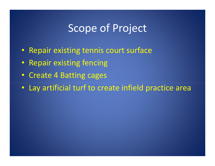### Scope of Project

- Repair existing tennis court surface
- •Repair existing fencing
- Create 4 Batting cages
- Lay artificial turf to create infield practice area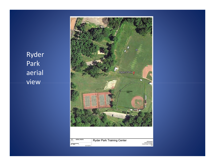Ryder Park aerial view

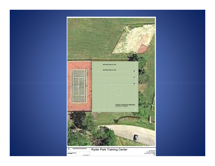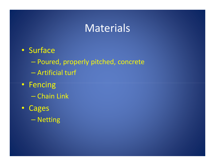### Materials

- Surface
	- $\mathcal{L}_{\mathcal{A}}$  , and the set of the set of the set of the set of the set of the set of the set of the set of the set of the set of the set of the set of the set of the set of the set of the set of the set of the set of th — Poured, properly pitched, concrete
	- –Artificial turf
- Fencing
	- $\mathcal{L}_{\mathcal{A}}$  , and the set of the set of the set of the set of the set of the set of the set of the set of the set of the set of the set of the set of the set of the set of the set of the set of the set of the set of th — Chain Link
- • Cages
	- $\mathcal{L}_{\mathcal{A}}$  , where  $\mathcal{L}_{\mathcal{A}}$  is the set of the set of the set of the set of the set of the set of the set of the set of the set of the set of the set of the set of the set of the set of the set of the set of the — Netting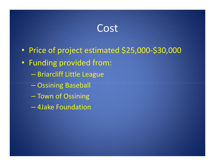#### Cost

- $\bullet$ Price of project estimated \$25,000-\$30,000
- Funding provided from:
	- $\mathcal{L}_{\mathcal{A}}$  , and the set of the set of the set of the set of the set of the set of the set of the set of the set of the set of the set of the set of the set of the set of the set of the set of the set of the set of th — Briarcliff Little League
	- –<br>–<br>– Ossining Baseball
	- $\mathcal{L}_{\mathcal{A}}$  , and the set of the set of the set of the set of the set of the set of the set of the set of the set of the set of the set of the set of the set of the set of the set of the set of the set of the set of th – Town of Ossining
	- –4Jake Foundation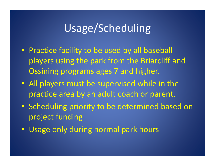## Usage/Scheduling

- Practice facility to be used by all baseball players using the park from the Briarcliff and Ossining programs ages 7 and higher.
- All players must be supervised while in the practice area by an adult coach or parent.
- Scheduling priority to be determined based on project funding
- $\bullet$ Usage only during normal park hours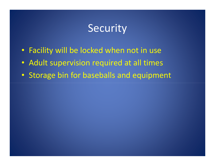### **Security**

- Facility will be locked when not in use
- Adult supervision required at all times
- Storage bin for baseballs and equipment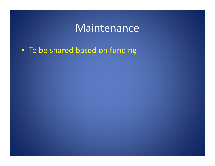### Maintenance

• To be shared based on funding